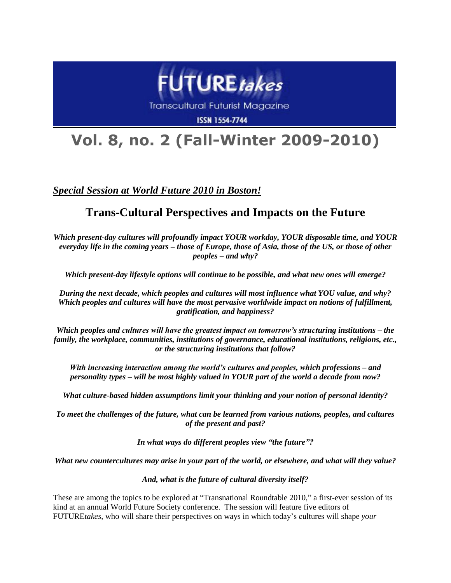

**Transcultural Futurist Magazine** 

**ISSN 1554-7744** 

## **Vol. 8, no. 2 (Fall-Winter 2009-2010)**

*Special Session at World Future 2010 in Boston!*

## **Trans-Cultural Perspectives and Impacts on the Future**

*Which present-day cultures will profoundly impact YOUR workday, YOUR disposable time, and YOUR everyday life in the coming years – those of Europe, those of Asia, those of the US, or those of other peoples – and why?*

*Which present-day lifestyle options will continue to be possible, and what new ones will emerge?*

*During the next decade, which peoples and cultures will most influence what YOU value, and why? Which peoples and cultures will have the most pervasive worldwide impact on notions of fulfillment, gratification, and happiness?*

*Which peoples and cultures will have the greatest impact on tomorrow's structuring institutions – the family, the workplace, communities, institutions of governance, educational institutions, religions, etc., or the structuring institutions that follow?*

*With increasing interaction among the world's cultures and peoples, which professions – and personality types – will be most highly valued in YOUR part of the world a decade from now?*

*What culture-based hidden assumptions limit your thinking and your notion of personal identity?*

*To meet the challenges of the future, what can be learned from various nations, peoples, and cultures of the present and past?*

*In what ways do different peoples view "the future"?*

*What new countercultures may arise in your part of the world, or elsewhere, and what will they value?*

*And, what is the future of cultural diversity itself?*

These are among the topics to be explored at "Transnational Roundtable 2010," a first-ever session of its kind at an annual World Future Society conference. The session will feature five editors of FUTURE*takes*, who will share their perspectives on ways in which today's cultures will shape *your*